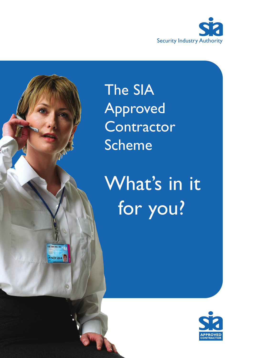

The SIA Approved **Contractor** Scheme

What's in it for you?

1102 0304 0506 778

19 NOV 2014

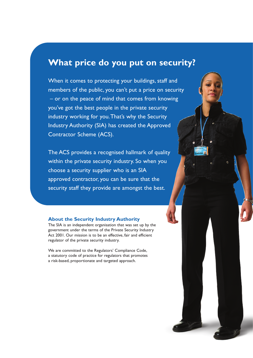## **What price do you put on security?**

When it comes to protecting your buildings, staff and members of the public, you can't put a price on security – or on the peace of mind that comes from knowing you've got the best people in the private security industry working for you.That's why the Security Industry Authority (SIA) has created the Approved Contractor Scheme (ACS).

The ACS provides a recognised hallmark of quality within the private security industry. So when you choose a security supplier who is an SIA approved contractor, you can be sure that the security staff they provide are amongst the best.

#### **About the Security Industry Authority**

The SIA is an independent organisation that was set up by the government under the terms of the Private Security Industry Act 2001. Our mission is to be an effective, fair and efficient regulator of the private security industry.

We are committed to the Regulators' Compliance Code, a statutory code of practice for regulators that promotes a risk-based, proportionate and targeted approach.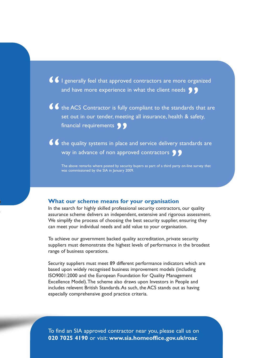**66** I generally feel that approved contractors are more organized and have more experience in what the client needs **99** and have more experience in what the client needs **99** 

**66** the ACS Contractor is fully compliant to the standards that are set out in our tender, meeting all insurance, health & safety, set out in our tender, meeting all insurance, health & safety, **financial requirements 99** 

**66** the quality systems in place and service delivery standards are way in advance of non approved contractors **99** way in advance of non approved contractors **99**<br>The above remarks where posted by security buyers as part of a third party c

The above remarks where posted by security buyers as part of a third party on-line survey that was commissioned by the SIA in January 2009.

## **What our scheme means for your organisation**

In the search for highly skilled professional security contractors, our quality assurance scheme delivers an independent, extensive and rigorous assessment. We simplify the process of choosing the best security supplier, ensuring they can meet your individual needs and add value to your organisation.

To achieve our government backed quality accreditation, private security suppliers must demonstrate the highest levels of performance in the broadest range of business operations.

Security suppliers must meet 89 different performance indicators which are based upon widely recognised business improvement models (including ISO9001:2000 and the European Foundation for Quality Management Excellence Model).The scheme also draws upon Investors in People and includes relevent British Standards.As such, the ACS stands out as having especially comprehensive good practice criteria.

To find an SIA approved contractor near you, please call us on **020 7025 4190** or visit: **www.sia.homeoffice.gov.uk/roac**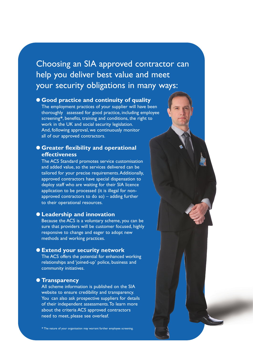## Choosing an SIA approved contractor can help you deliver best value and meet your security obligations in many ways:

## ● **Good practice and continuity of quality**

The employment practices of your supplier will have been thoroughly assessed for good practice, including employee screening**\***, benefits, training and conditions, the right to work in the UK and social security legislation. And, following approval, we continuously monitor all of our approved contractors.

## ● **Greater flexibility and operational effectiveness**

The ACS Standard promotes service customisation and added value, so the services delivered can be tailored for your precise requirements.Additionally, approved contractors have special dispensation to deploy staff who are waiting for their SIA licence application to be processed (it is illegal for nonapproved contractors to do so) – adding further to their operational resources.

## ● **Leadership and innovation**

Because the ACS is a voluntary scheme, you can be sure that providers will be customer focused, highly responsive to change and eager to adopt new methods and working practices.

## ● **Extend your security network**

The ACS offers the potential for enhanced working relationships and 'joined-up' police, business and community initiatives.

### ● **Transparency**

All scheme information is published on the SIA website to ensure credibility and transparency. You can also ask prospective suppliers for details of their independent assessments.To learn more about the criteria ACS approved contractors need to meet, please see overleaf.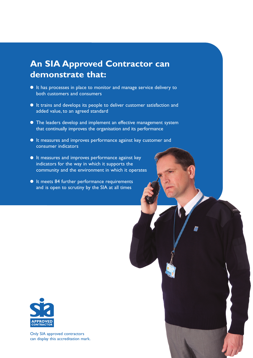# **An SIA Approved Contractor can demonstrate that:**

- It has processes in place to monitor and manage service delivery to both customers and consumers
- It trains and develops its people to deliver customer satisfaction and added value, to an agreed standard
- The leaders develop and implement an effective management system that continually improves the organisation and its performance
- It measures and improves performance against key customer and consumer indicators
- It measures and improves performance against key indicators for the way in which it supports the community and the environment in which it operates
- It meets 84 further performance requirements and is open to scrutiny by the SIA at all times



Only SIA approved contractors can display this accreditation mark.